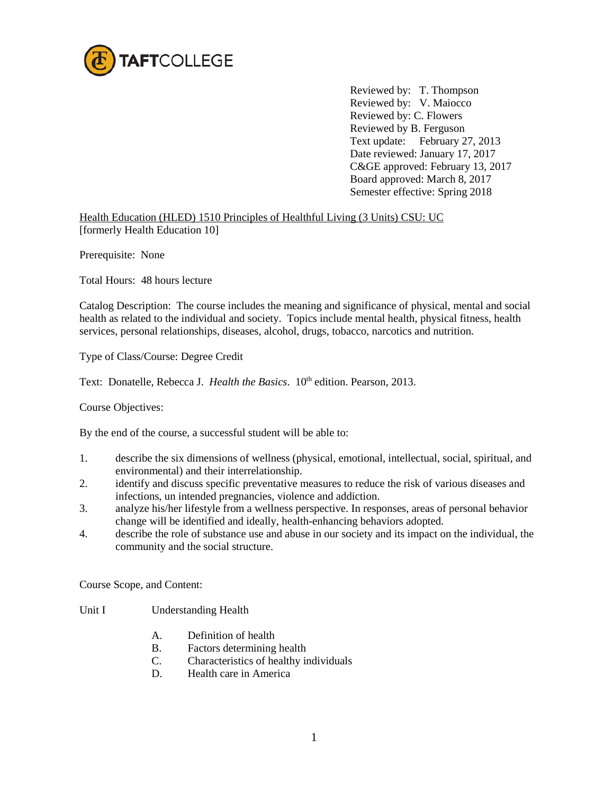

Reviewed by: T. Thompson Reviewed by: V. Maiocco Reviewed by: C. Flowers Reviewed by B. Ferguson Text update: February 27, 2013 Date reviewed: January 17, 2017 C&GE approved: February 13, 2017 Board approved: March 8, 2017 Semester effective: Spring 2018

Health Education (HLED) 1510 Principles of Healthful Living (3 Units) CSU: UC [formerly Health Education 10]

Prerequisite: None

Total Hours: 48 hours lecture

Catalog Description: The course includes the meaning and significance of physical, mental and social health as related to the individual and society. Topics include mental health, physical fitness, health services, personal relationships, diseases, alcohol, drugs, tobacco, narcotics and nutrition.

Type of Class/Course: Degree Credit

Text: Donatelle, Rebecca J. *Health the Basics*. 10<sup>th</sup> edition. Pearson, 2013.

Course Objectives:

By the end of the course, a successful student will be able to:

- 1. describe the six dimensions of wellness (physical, emotional, intellectual, social, spiritual, and environmental) and their interrelationship.
- 2. identify and discuss specific preventative measures to reduce the risk of various diseases and infections, un intended pregnancies, violence and addiction.
- 3. analyze his/her lifestyle from a wellness perspective. In responses, areas of personal behavior change will be identified and ideally, health-enhancing behaviors adopted.
- 4. describe the role of substance use and abuse in our society and its impact on the individual, the community and the social structure.

Course Scope, and Content:

- Unit I Understanding Health
	- A. Definition of health
	- B. Factors determining health
	- C. Characteristics of healthy individuals
	- D. Health care in America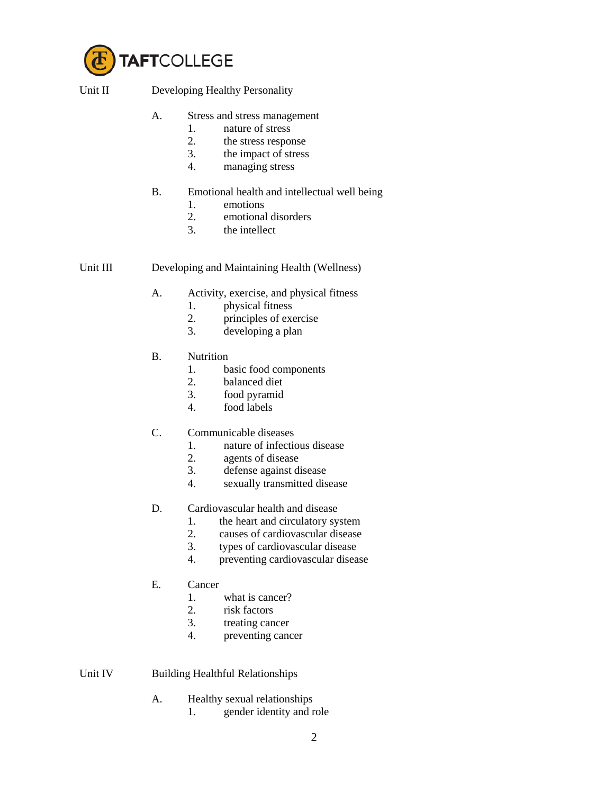

Unit II Developing Healthy Personality

- A. Stress and stress management
	- 1. nature of stress
	- 2. the stress response
	- 3. the impact of stress
	- 4. managing stress
- B. Emotional health and intellectual well being
	- 1. emotions
	- 2. emotional disorders
	- 3. the intellect

Unit III Developing and Maintaining Health (Wellness)

- A. Activity, exercise, and physical fitness
	- 1. physical fitness
	- 2. principles of exercise
	- 3. developing a plan
- B. Nutrition
	- 1. basic food components
	- 2. balanced diet
	- 3. food pyramid
	- food labels
- C. Communicable diseases
	- 1. nature of infectious disease
	- 2. agents of disease<br>3. defense against di
	- defense against disease
	- 4. sexually transmitted disease
- D. Cardiovascular health and disease
	- 1. the heart and circulatory system
	- 2. causes of cardiovascular disease
	- 3. types of cardiovascular disease
	- 4. preventing cardiovascular disease
- E. Cancer
	- 1. what is cancer?
	- 2. risk factors
	- 3. treating cancer
	- 4. preventing cancer

Unit IV Building Healthful Relationships

- A. Healthy sexual relationships
	- 1. gender identity and role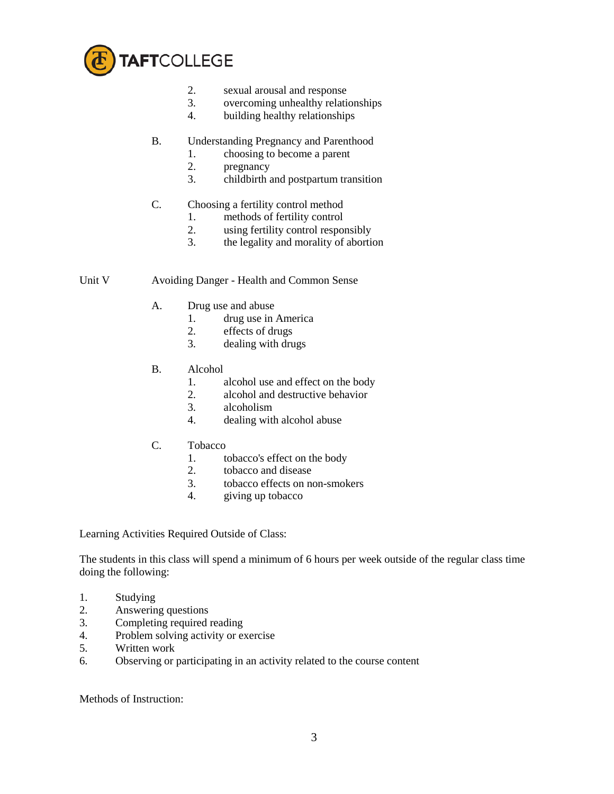

- 2. sexual arousal and response
- 3. overcoming unhealthy relationships
- 4. building healthy relationships
- B. Understanding Pregnancy and Parenthood
	- 1. choosing to become a parent
	- 2. pregnancy
	- 3. childbirth and postpartum transition
- C. Choosing a fertility control method
	- 1. methods of fertility control
	- 2. using fertility control responsibly
	- 3. the legality and morality of abortion

Unit V Avoiding Danger - Health and Common Sense

- A. Drug use and abuse
	- 1. drug use in America
	- 2. effects of drugs<br>3. dealing with drugs
	- dealing with drugs
- B. Alcohol
	- 1. alcohol use and effect on the body
	- 2. alcohol and destructive behavior<br>3. alcoholism
	- alcoholism
	- 4. dealing with alcohol abuse
- C. Tobacco
	- 1. tobacco's effect on the body
	- 2. tobacco and disease
	- 3. tobacco effects on non-smokers
	- 4. giving up tobacco

Learning Activities Required Outside of Class:

The students in this class will spend a minimum of 6 hours per week outside of the regular class time doing the following:

- 1. Studying
- 2. Answering questions
- 3. Completing required reading
- 4. Problem solving activity or exercise
- 5. Written work
- 6. Observing or participating in an activity related to the course content

Methods of Instruction: